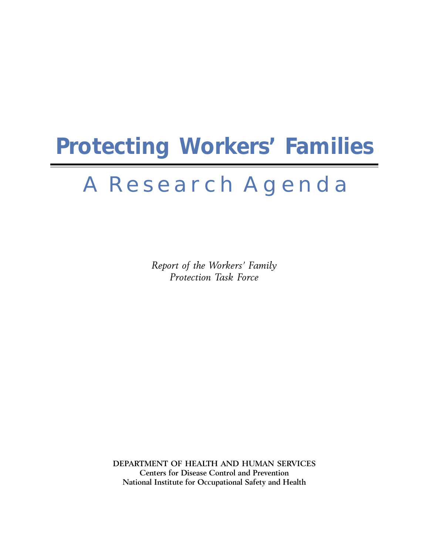# **Protecting Workers' Families**

## A R e s e a r c h A g e n d a

Report of the Workers' Family Protection Task Force

DEPARTMENT OF HEALTH AND HUMAN SERVICES Centers for Disease Control and Prevention National Institute for Occupational Safety and Health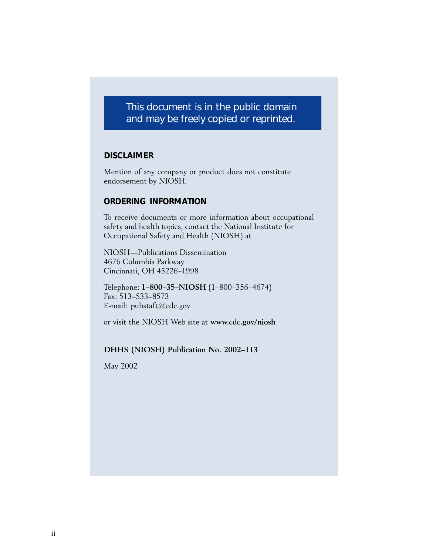## This document is in the public domain and may be freely copied or reprinted.

#### **DISCLAIMER**

Mention of any company or product does not constitute endorsement by NIOSH.

#### **ORDERING INFORMATION**

To receive documents or more information about occupational safety and health topics, contact the National Institute for Occupational Safety and Health (NIOSH) at

NIOSH—Publications Dissemination 4676 Columbia Parkway Cincinnati, OH 45226–1998

Telephone: 1–800–35–NIOSH (1–800–356–4674) Fax: 513–533–8573 E-mail: pubstaft@cdc.gov

or visit the NIOSH Web site at www.cdc.gov/niosh

DHHS (NIOSH) Publication No. 2002–113

May 2002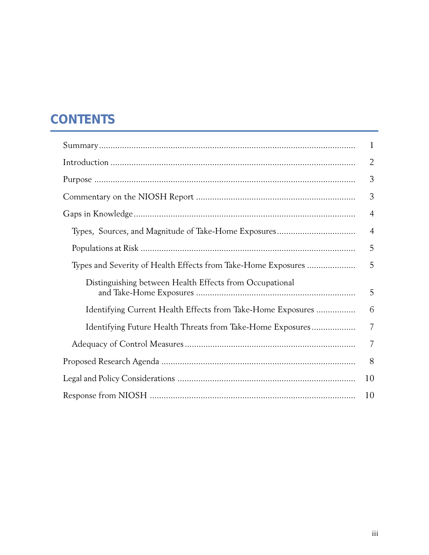## **CONTENTS**

|                                                               | $\mathbf{1}$   |
|---------------------------------------------------------------|----------------|
|                                                               | $\overline{2}$ |
|                                                               | 3              |
|                                                               | 3              |
|                                                               | $\overline{4}$ |
|                                                               | $\overline{4}$ |
|                                                               | 5              |
| Types and Severity of Health Effects from Take-Home Exposures | 5              |
| Distinguishing between Health Effects from Occupational       | 5              |
| Identifying Current Health Effects from Take-Home Exposures   | 6              |
| Identifying Future Health Threats from Take-Home Exposures    | $\overline{7}$ |
|                                                               | 7              |
|                                                               | 8              |
|                                                               | 10             |
|                                                               | 10             |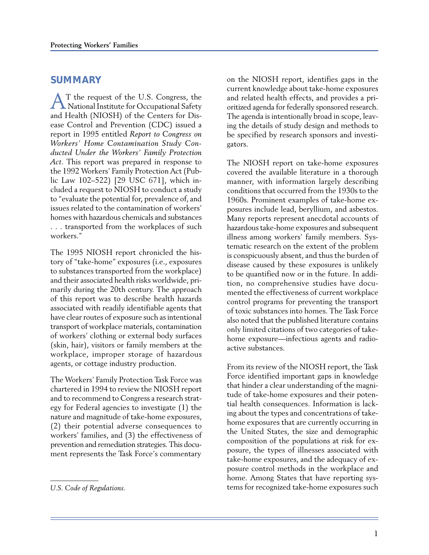#### **SUMMARY**

AT the request of the U.S. Congress, the National Institute for Occupational Safety and Health (NIOSH) of the Centers for Disease Control and Prevention (CDC) issued a report in 1995 entitled Report to Congress on Workers' Home Contamination Study Conducted Under the Workers' Family Protection Act. This report was prepared in response to the 1992 Workers' Family Protection Act (Public Law 102–522) [29 USC 671], which included a request to NIOSH to conduct a study to "evaluate the potential for, prevalence of, and issues related to the contamination of workers' homes with hazardous chemicals and substances . . . transported from the workplaces of such workers."

The 1995 NIOSH report chronicled the history of "take-home" exposures (i.e., exposures to substances transported from the workplace) and their associated health risks worldwide, primarily during the 20th century. The approach of this report was to describe health hazards associated with readily identifiable agents that have clear routes of exposure such as intentional transport of workplace materials, contamination of workers' clothing or external body surfaces (skin, hair), visitors or family members at the workplace, improper storage of hazardous agents, or cottage industry production.

The Workers' Family Protection Task Force was chartered in 1994 to review the NIOSH report and to recommend to Congress a research strategy for Federal agencies to investigate (1) the nature and magnitude of take-home exposures, (2) their potential adverse consequences to workers' families, and (3) the effectiveness of prevention and remediation strategies. This document represents the Task Force's commentary on the NIOSH report, identifies gaps in the current knowledge about take-home exposures and related health effects, and provides a prioritized agenda for federally sponsored research. The agenda is intentionally broad in scope, leaving the details of study design and methods to be specified by research sponsors and investigators.

The NIOSH report on take-home exposures covered the available literature in a thorough manner, with information largely describing conditions that occurred from the 1930s to the 1960s. Prominent examples of take-home exposures include lead, beryllium, and asbestos. Many reports represent anecdotal accounts of hazardous take-home exposures and subsequent illness among workers' family members. Systematic research on the extent of the problem is conspicuously absent, and thus the burden of disease caused by these exposures is unlikely to be quantified now or in the future. In addition, no comprehensive studies have documented the effectiveness of current workplace control programs for preventing the transport of toxic substances into homes. The Task Force also noted that the published literature contains only limited citations of two categories of takehome exposure—infectious agents and radioactive substances.

From its review of the NIOSH report, the Task Force identified important gaps in knowledge that hinder a clear understanding of the magnitude of take-home exposures and their potential health consequences. Information is lacking about the types and concentrations of takehome exposures that are currently occurring in the United States, the size and demographic composition of the populations at risk for exposure, the types of illnesses associated with take-home exposures, and the adequacy of exposure control methods in the workplace and home. Among States that have reporting systems for recognized take-home exposures such

U.S. Code of Regulations.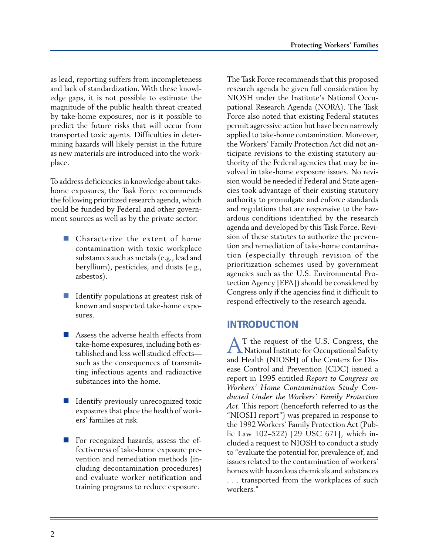as lead, reporting suffers from incompleteness and lack of standardization. With these knowledge gaps, it is not possible to estimate the magnitude of the public health threat created by take-home exposures, nor is it possible to predict the future risks that will occur from transported toxic agents. Difficulties in determining hazards will likely persist in the future as new materials are introduced into the workplace.

To address deficiencies in knowledge about takehome exposures, the Task Force recommends the following prioritized research agenda, which could be funded by Federal and other government sources as well as by the private sector:

- Characterize the extent of home contamination with toxic workplace substances such as metals (e.g., lead and beryllium), pesticides, and dusts (e.g., asbestos).
- I Identify populations at greatest risk of known and suspected take-home exposures.
- Assess the adverse health effects from take-home exposures, including both established and less well studied effects such as the consequences of transmitting infectious agents and radioactive substances into the home.
- I Identify previously unrecognized toxic exposures that place the health of workers' families at risk.
- For recognized hazards, assess the effectiveness of take-home exposure prevention and remediation methods (including decontamination procedures) and evaluate worker notification and training programs to reduce exposure.

The Task Force recommends that this proposed research agenda be given full consideration by NIOSH under the Institute's National Occupational Research Agenda (NORA). The Task Force also noted that existing Federal statutes permit aggressive action but have been narrowly applied to take-home contamination. Moreover, the Workers' Family Protection Act did not anticipate revisions to the existing statutory authority of the Federal agencies that may be involved in take-home exposure issues. No revision would be needed if Federal and State agencies took advantage of their existing statutory authority to promulgate and enforce standards and regulations that are responsive to the hazardous conditions identified by the research agenda and developed by this Task Force. Revision of these statutes to authorize the prevention and remediation of take-home contamination (especially through revision of the prioritization schemes used by government agencies such as the U.S. Environmental Protection Agency [EPA]) should be considered by Congress only if the agencies find it difficult to respond effectively to the research agenda.

## **INTRODUCTION**

AT the request of the U.S. Congress, the National Institute for Occupational Safety and Health (NIOSH) of the Centers for Disease Control and Prevention (CDC) issued a report in 1995 entitled Report to Congress on Workers' Home Contamination Study Conducted Under the Workers' Family Protection Act. This report (henceforth referred to as the "NIOSH report") was prepared in response to the 1992 Workers' Family Protection Act (Public Law 102–522) [29 USC 671], which included a request to NIOSH to conduct a study to "evaluate the potential for, prevalence of, and issues related to the contamination of workers' homes with hazardous chemicals and substances . . . transported from the workplaces of such workers."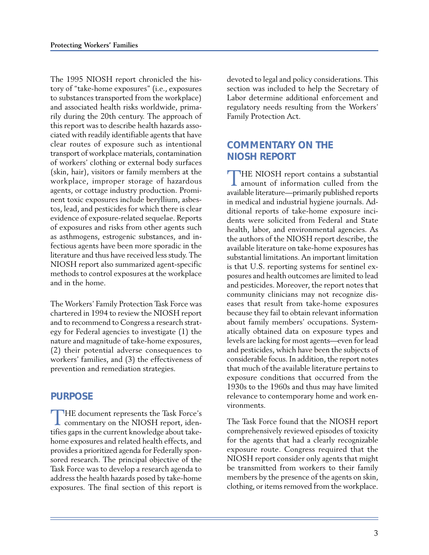The 1995 NIOSH report chronicled the history of "take-home exposures" (i.e., exposures to substances transported from the workplace) and associated health risks worldwide, primarily during the 20th century. The approach of this report was to describe health hazards associated with readily identifiable agents that have clear routes of exposure such as intentional transport of workplace materials, contamination of workers' clothing or external body surfaces (skin, hair), visitors or family members at the workplace, improper storage of hazardous agents, or cottage industry production. Prominent toxic exposures include beryllium, asbestos, lead, and pesticides for which there is clear evidence of exposure-related sequelae. Reports of exposures and risks from other agents such as asthmogens, estrogenic substances, and infectious agents have been more sporadic in the literature and thus have received less study. The NIOSH report also summarized agent-specific methods to control exposures at the workplace and in the home.

The Workers' Family Protection Task Force was chartered in 1994 to review the NIOSH report and to recommend to Congress a research strategy for Federal agencies to investigate (1) the nature and magnitude of take-home exposures, (2) their potential adverse consequences to workers' families, and (3) the effectiveness of prevention and remediation strategies.

## **PURPOSE**

THE document represents the Task Force's<br>commentary on the NIOSH report, identifies gaps in the current knowledge about takehome exposures and related health effects, and provides a prioritized agenda for Federally sponsored research. The principal objective of the Task Force was to develop a research agenda to address the health hazards posed by take-home exposures. The final section of this report is devoted to legal and policy considerations. This section was included to help the Secretary of Labor determine additional enforcement and regulatory needs resulting from the Workers' Family Protection Act.

## **COMMENTARY ON THE NIOSH REPORT**

THE NIOSH report contains a substantial amount of information culled from the available literature—primarily published reports in medical and industrial hygiene journals. Additional reports of take-home exposure incidents were solicited from Federal and State health, labor, and environmental agencies. As the authors of the NIOSH report describe, the available literature on take-home exposures has substantial limitations. An important limitation is that U.S. reporting systems for sentinel exposures and health outcomes are limited to lead and pesticides. Moreover, the report notes that community clinicians may not recognize diseases that result from take-home exposures because they fail to obtain relevant information about family members' occupations. Systematically obtained data on exposure types and levels are lacking for most agents—even for lead and pesticides, which have been the subjects of considerable focus. In addition, the report notes that much of the available literature pertains to exposure conditions that occurred from the 1930s to the 1960s and thus may have limited relevance to contemporary home and work environments.

The Task Force found that the NIOSH report comprehensively reviewed episodes of toxicity for the agents that had a clearly recognizable exposure route. Congress required that the NIOSH report consider only agents that might be transmitted from workers to their family members by the presence of the agents on skin, clothing, or items removed from the workplace.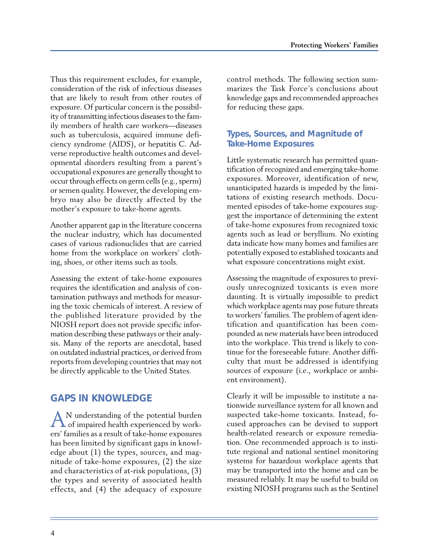Thus this requirement excludes, for example, consideration of the risk of infectious diseases that are likely to result from other routes of exposure. Of particular concern is the possibility of transmitting infectious diseases to the family members of health care workers—diseases such as tuberculosis, acquired immune deficiency syndrome (AIDS), or hepatitis C. Adverse reproductive health outcomes and developmental disorders resulting from a parent's occupational exposures are generally thought to occur through effects on germ cells (e.g., sperm) or semen quality. However, the developing embryo may also be directly affected by the mother's exposure to take-home agents.

Another apparent gap in the literature concerns the nuclear industry, which has documented cases of various radionuclides that are carried home from the workplace on workers' clothing, shoes, or other items such as tools.

Assessing the extent of take-home exposures requires the identification and analysis of contamination pathways and methods for measuring the toxic chemicals of interest. A review of the published literature provided by the NIOSH report does not provide specific information describing these pathways or their analysis. Many of the reports are anecdotal, based on outdated industrial practices, or derived from reports from developing countries that may not be directly applicable to the United States.

## **GAPS IN KNOWLEDGE**

AN understanding of the potential burden of impaired health experienced by workers' families as a result of take-home exposures has been limited by significant gaps in knowledge about (1) the types, sources, and magnitude of take-home exposures, (2) the size and characteristics of at-risk populations, (3) the types and severity of associated health effects, and (4) the adequacy of exposure control methods. The following section summarizes the Task Force's conclusions about knowledge gaps and recommended approaches for reducing these gaps.

### **Types, Sources, and Magnitude of Take-Home Exposures**

Little systematic research has permitted quantification of recognized and emerging take-home exposures. Moreover, identification of new, unanticipated hazards is impeded by the limitations of existing research methods. Documented episodes of take-home exposures suggest the importance of determining the extent of take-home exposures from recognized toxic agents such as lead or beryllium. No existing data indicate how many homes and families are potentially exposed to established toxicants and what exposure concentrations might exist.

Assessing the magnitude of exposures to previously unrecognized toxicants is even more daunting. It is virtually impossible to predict which workplace agents may pose future threats to workers' families. The problem of agent identification and quantification has been compounded as new materials have been introduced into the workplace. This trend is likely to continue for the foreseeable future. Another difficulty that must be addressed is identifying sources of exposure (i.e., workplace or ambient environment).

Clearly it will be impossible to institute a nationwide surveillance system for all known and suspected take-home toxicants. Instead, focused approaches can be devised to support health-related research or exposure remediation. One recommended approach is to institute regional and national sentinel monitoring systems for hazardous workplace agents that may be transported into the home and can be measured reliably. It may be useful to build on existing NIOSH programs such as the Sentinel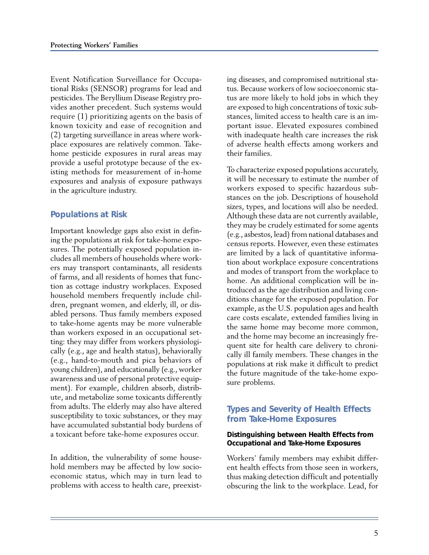Event Notification Surveillance for Occupational Risks (SENSOR) programs for lead and pesticides. The Beryllium Disease Registry provides another precedent. Such systems would require (1) prioritizing agents on the basis of known toxicity and ease of recognition and (2) targeting surveillance in areas where workplace exposures are relatively common. Takehome pesticide exposures in rural areas may provide a useful prototype because of the existing methods for measurement of in-home exposures and analysis of exposure pathways in the agriculture industry.

#### **Populations at Risk**

Important knowledge gaps also exist in defining the populations at risk for take-home exposures. The potentially exposed population includes all members of households where workers may transport contaminants, all residents of farms, and all residents of homes that function as cottage industry workplaces. Exposed household members frequently include children, pregnant women, and elderly, ill, or disabled persons. Thus family members exposed to take-home agents may be more vulnerable than workers exposed in an occupational setting: they may differ from workers physiologically (e.g., age and health status), behaviorally (e.g., hand-to-mouth and pica behaviors of young children), and educationally (e.g., worker awareness and use of personal protective equipment). For example, children absorb, distribute, and metabolize some toxicants differently from adults. The elderly may also have altered susceptibility to toxic substances, or they may have accumulated substantial body burdens of a toxicant before take-home exposures occur.

In addition, the vulnerability of some household members may be affected by low socioeconomic status, which may in turn lead to problems with access to health care, preexisting diseases, and compromised nutritional status. Because workers of low socioeconomic status are more likely to hold jobs in which they are exposed to high concentrations of toxic substances, limited access to health care is an important issue. Elevated exposures combined with inadequate health care increases the risk of adverse health effects among workers and their families.

To characterize exposed populations accurately, it will be necessary to estimate the number of workers exposed to specific hazardous substances on the job. Descriptions of household sizes, types, and locations will also be needed. Although these data are not currently available, they may be crudely estimated for some agents (e.g., asbestos, lead) from national databases and census reports. However, even these estimates are limited by a lack of quantitative information about workplace exposure concentrations and modes of transport from the workplace to home. An additional complication will be introduced as the age distribution and living conditions change for the exposed population. For example, as the U.S. population ages and health care costs escalate, extended families living in the same home may become more common, and the home may become an increasingly frequent site for health care delivery to chronically ill family members. These changes in the populations at risk make it difficult to predict the future magnitude of the take-home exposure problems.

#### **Types and Severity of Health Effects from Take-Home Exposures**

#### **Distinguishing between Health Effects from Occupational and Take-Home Exposures**

Workers' family members may exhibit different health effects from those seen in workers, thus making detection difficult and potentially obscuring the link to the workplace. Lead, for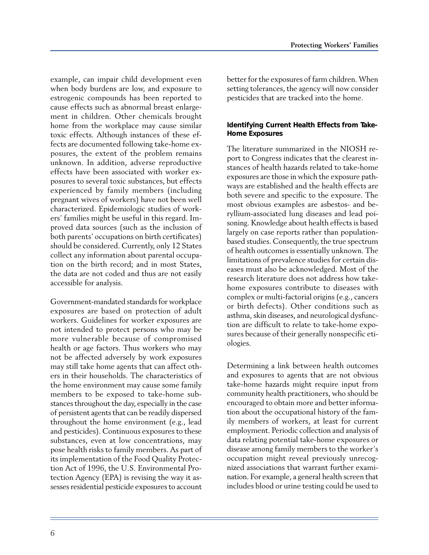example, can impair child development even when body burdens are low, and exposure to estrogenic compounds has been reported to cause effects such as abnormal breast enlargement in children. Other chemicals brought home from the workplace may cause similar toxic effects. Although instances of these effects are documented following take-home exposures, the extent of the problem remains unknown. In addition, adverse reproductive effects have been associated with worker exposures to several toxic substances, but effects experienced by family members (including pregnant wives of workers) have not been well characterized. Epidemiologic studies of workers' families might be useful in this regard. Improved data sources (such as the inclusion of both parents' occupations on birth certificates) should be considered. Currently, only 12 States collect any information about parental occupation on the birth record; and in most States, the data are not coded and thus are not easily accessible for analysis.

Government-mandated standards for workplace exposures are based on protection of adult workers. Guidelines for worker exposures are not intended to protect persons who may be more vulnerable because of compromised health or age factors. Thus workers who may not be affected adversely by work exposures may still take home agents that can affect others in their households. The characteristics of the home environment may cause some family members to be exposed to take-home substances throughout the day, especially in the case of persistent agents that can be readily dispersed throughout the home environment (e.g., lead and pesticides). Continuous exposures to these substances, even at low concentrations, may pose health risks to family members. As part of its implementation of the Food Quality Protection Act of 1996, the U.S. Environmental Protection Agency (EPA) is revising the way it assesses residential pesticide exposures to account better for the exposures of farm children. When setting tolerances, the agency will now consider pesticides that are tracked into the home.

#### **Identifying Current Health Effects from Take-Home Exposures**

The literature summarized in the NIOSH report to Congress indicates that the clearest instances of health hazards related to take-home exposures are those in which the exposure pathways are established and the health effects are both severe and specific to the exposure. The most obvious examples are asbestos- and beryllium-associated lung diseases and lead poisoning. Knowledge about health effects is based largely on case reports rather than populationbased studies. Consequently, the true spectrum of health outcomes is essentially unknown. The limitations of prevalence studies for certain diseases must also be acknowledged. Most of the research literature does not address how takehome exposures contribute to diseases with complex or multi-factorial origins (e.g., cancers or birth defects). Other conditions such as asthma, skin diseases, and neurological dysfunction are difficult to relate to take-home exposures because of their generally nonspecific etiologies.

Determining a link between health outcomes and exposures to agents that are not obvious take-home hazards might require input from community health practitioners, who should be encouraged to obtain more and better information about the occupational history of the family members of workers, at least for current employment. Periodic collection and analysis of data relating potential take-home exposures or disease among family members to the worker's occupation might reveal previously unrecognized associations that warrant further examination. For example, a general health screen that includes blood or urine testing could be used to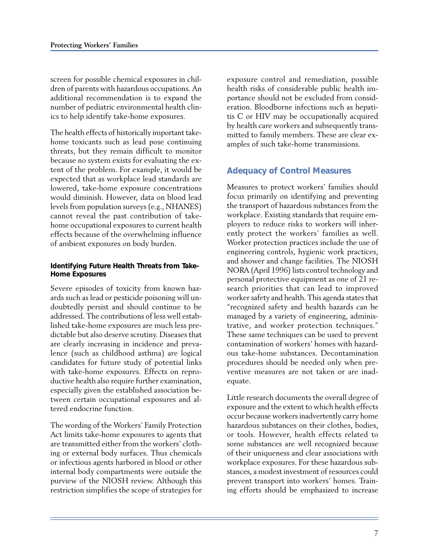screen for possible chemical exposures in children of parents with hazardous occupations. An additional recommendation is to expand the number of pediatric environmental health clinics to help identify take-home exposures.

The health effects of historically important takehome toxicants such as lead pose continuing threats, but they remain difficult to monitor because no system exists for evaluating the extent of the problem. For example, it would be expected that as workplace lead standards are lowered, take-home exposure concentrations would diminish. However, data on blood lead levels from population surveys (e.g., NHANES) cannot reveal the past contribution of takehome occupational exposures to current health effects because of the overwhelming influence of ambient exposures on body burden.

#### **Identifying Future Health Threats from Take-Home Exposures**

Severe episodes of toxicity from known hazards such as lead or pesticide poisoning will undoubtedly persist and should continue to be addressed. The contributions of less well established take-home exposures are much less predictable but also deserve scrutiny. Diseases that are clearly increasing in incidence and prevalence (such as childhood asthma) are logical candidates for future study of potential links with take-home exposures. Effects on reproductive health also require further examination, especially given the established association between certain occupational exposures and altered endocrine function.

The wording of the Workers' Family Protection Act limits take-home exposures to agents that are transmitted either from the workers' clothing or external body surfaces. Thus chemicals or infectious agents harbored in blood or other internal body compartments were outside the purview of the NIOSH review. Although this restriction simplifies the scope of strategies for exposure control and remediation, possible health risks of considerable public health importance should not be excluded from consideration. Bloodborne infections such as hepatitis C or HIV may be occupationally acquired by health care workers and subsequently transmitted to family members. These are clear examples of such take-home transmissions.

### **Adequacy of Control Measures**

Measures to protect workers' families should focus primarily on identifying and preventing the transport of hazardous substances from the workplace. Existing standards that require employers to reduce risks to workers will inherently protect the workers' families as well. Worker protection practices include the use of engineering controls, hygienic work practices, and shower and change facilities. The NIOSH NORA (April 1996) lists control technology and personal protective equipment as one of 21 research priorities that can lead to improved worker safety and health. This agenda states that "recognized safety and health hazards can be managed by a variety of engineering, administrative, and worker protection techniques." These same techniques can be used to prevent contamination of workers' homes with hazardous take-home substances. Decontamination procedures should be needed only when preventive measures are not taken or are inadequate.

Little research documents the overall degree of exposure and the extent to which health effects occur because workers inadvertently carry home hazardous substances on their clothes, bodies, or tools. However, health effects related to some substances are well recognized because of their uniqueness and clear associations with workplace exposures. For these hazardous substances, a modest investment of resources could prevent transport into workers' homes. Training efforts should be emphasized to increase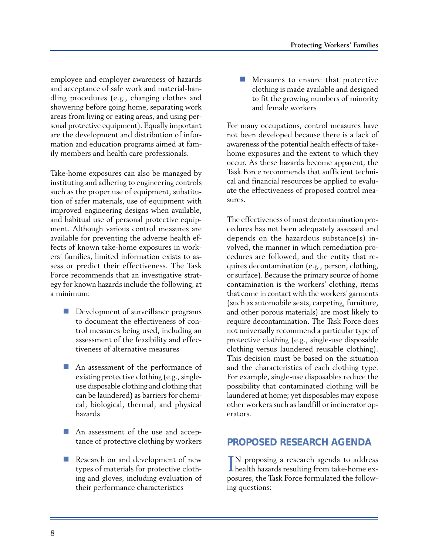employee and employer awareness of hazards and acceptance of safe work and material-handling procedures (e.g., changing clothes and showering before going home, separating work areas from living or eating areas, and using personal protective equipment). Equally important are the development and distribution of information and education programs aimed at family members and health care professionals.

Take-home exposures can also be managed by instituting and adhering to engineering controls such as the proper use of equipment, substitution of safer materials, use of equipment with improved engineering designs when available, and habitual use of personal protective equipment. Although various control measures are available for preventing the adverse health effects of known take-home exposures in workers' families, limited information exists to assess or predict their effectiveness. The Task Force recommends that an investigative strategy for known hazards include the following, at a minimum:

- Development of surveillance programs to document the effectiveness of control measures being used, including an assessment of the feasibility and effectiveness of alternative measures
- An assessment of the performance of existing protective clothing (e.g., singleuse disposable clothing and clothing that can be laundered) as barriers for chemical, biological, thermal, and physical hazards
- An assessment of the use and acceptance of protective clothing by workers
- Research on and development of new types of materials for protective clothing and gloves, including evaluation of their performance characteristics

 Measures to ensure that protective clothing is made available and designed to fit the growing numbers of minority and female workers

For many occupations, control measures have not been developed because there is a lack of awareness of the potential health effects of takehome exposures and the extent to which they occur. As these hazards become apparent, the Task Force recommends that sufficient technical and financial resources be applied to evaluate the effectiveness of proposed control measures.

The effectiveness of most decontamination procedures has not been adequately assessed and depends on the hazardous substance(s) involved, the manner in which remediation procedures are followed, and the entity that requires decontamination (e.g., person, clothing, or surface). Because the primary source of home contamination is the workers' clothing, items that come in contact with the workers' garments (such as automobile seats, carpeting, furniture, and other porous materials) are most likely to require decontamination. The Task Force does not universally recommend a particular type of protective clothing (e.g., single-use disposable clothing versus laundered reusable clothing). This decision must be based on the situation and the characteristics of each clothing type. For example, single-use disposables reduce the possibility that contaminated clothing will be laundered at home; yet disposables may expose other workers such as landfill or incinerator operators.

## **PROPOSED RESEARCH AGENDA**

IN proposing a research agenda to address<br>health hazards resulting from take-home ex-N proposing a research agenda to address posures, the Task Force formulated the following questions: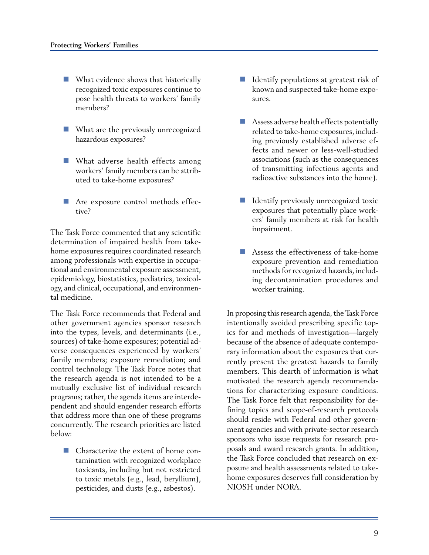- **No. 1.43** What evidence shows that historically recognized toxic exposures continue to pose health threats to workers' family members?
- **No. 19 What are the previously unrecognized** hazardous exposures?
- **NATA** What adverse health effects among workers' family members can be attributed to take-home exposures?
- Are exposure control methods effective?

The Task Force commented that any scientific determination of impaired health from takehome exposures requires coordinated research among professionals with expertise in occupational and environmental exposure assessment, epidemiology, biostatistics, pediatrics, toxicology, and clinical, occupational, and environmental medicine.

The Task Force recommends that Federal and other government agencies sponsor research into the types, levels, and determinants (i.e., sources) of take-home exposures; potential adverse consequences experienced by workers' family members; exposure remediation; and control technology. The Task Force notes that the research agenda is not intended to be a mutually exclusive list of individual research programs; rather, the agenda items are interdependent and should engender research efforts that address more than one of these programs concurrently. The research priorities are listed below:

**Characterize the extent of home con**tamination with recognized workplace toxicants, including but not restricted to toxic metals (e.g., lead, beryllium), pesticides, and dusts (e.g., asbestos).

- I Identify populations at greatest risk of known and suspected take-home exposures.
- **Assess adverse health effects potentially** related to take-home exposures, including previously established adverse effects and newer or less-well-studied associations (such as the consequences of transmitting infectious agents and radioactive substances into the home).
- Identify previously unrecognized toxic exposures that potentially place workers' family members at risk for health impairment.
- Assess the effectiveness of take-home exposure prevention and remediation methods for recognized hazards, including decontamination procedures and worker training.

In proposing this research agenda, the Task Force intentionally avoided prescribing specific topics for and methods of investigation—largely because of the absence of adequate contemporary information about the exposures that currently present the greatest hazards to family members. This dearth of information is what motivated the research agenda recommendations for characterizing exposure conditions. The Task Force felt that responsibility for defining topics and scope-of-research protocols should reside with Federal and other government agencies and with private-sector research sponsors who issue requests for research proposals and award research grants. In addition, the Task Force concluded that research on exposure and health assessments related to takehome exposures deserves full consideration by NIOSH under NORA.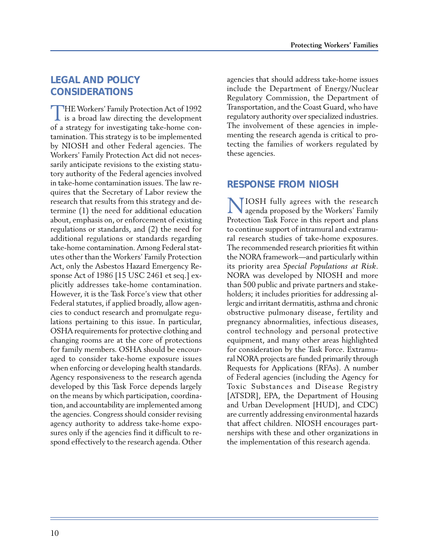## **LEGAL AND POLICY CONSIDERATIONS**

THE Workers' Family Protection Act of 1992  $\perp$  is a broad law directing the development of a strategy for investigating take-home contamination. This strategy is to be implemented by NIOSH and other Federal agencies. The Workers' Family Protection Act did not necessarily anticipate revisions to the existing statutory authority of the Federal agencies involved in take-home contamination issues. The law requires that the Secretary of Labor review the research that results from this strategy and determine (1) the need for additional education about, emphasis on, or enforcement of existing regulations or standards, and (2) the need for additional regulations or standards regarding take-home contamination. Among Federal statutes other than the Workers' Family Protection Act, only the Asbestos Hazard Emergency Response Act of 1986 [15 USC 2461 et seq.] explicitly addresses take-home contamination. However, it is the Task Force's view that other Federal statutes, if applied broadly, allow agencies to conduct research and promulgate regulations pertaining to this issue. In particular, OSHA requirements for protective clothing and changing rooms are at the core of protections for family members. OSHA should be encouraged to consider take-home exposure issues when enforcing or developing health standards. Agency responsiveness to the research agenda developed by this Task Force depends largely on the means by which participation, coordination, and accountability are implemented among the agencies. Congress should consider revising agency authority to address take-home exposures only if the agencies find it difficult to respond effectively to the research agenda. Other agencies that should address take-home issues include the Department of Energy/Nuclear Regulatory Commission, the Department of Transportation, and the Coast Guard, who have regulatory authority over specialized industries. The involvement of these agencies in implementing the research agenda is critical to protecting the families of workers regulated by these agencies.

## **RESPONSE FROM NIOSH**

NIOSH fully agrees with the research agenda proposed by the Workers' Family Protection Task Force in this report and plans to continue support of intramural and extramural research studies of take-home exposures. The recommended research priorities fit within the NORA framework—and particularly within its priority area Special Populations at Risk. NORA was developed by NIOSH and more than 500 public and private partners and stakeholders; it includes priorities for addressing allergic and irritant dermatitis, asthma and chronic obstructive pulmonary disease, fertility and pregnancy abnormalities, infectious diseases, control technology and personal protective equipment, and many other areas highlighted for consideration by the Task Force. Extramural NORA projects are funded primarily through Requests for Applications (RFAs). A number of Federal agencies (including the Agency for Toxic Substances and Disease Registry [ATSDR], EPA, the Department of Housing and Urban Development [HUD], and CDC) are currently addressing environmental hazards that affect children. NIOSH encourages partnerships with these and other organizations in the implementation of this research agenda.